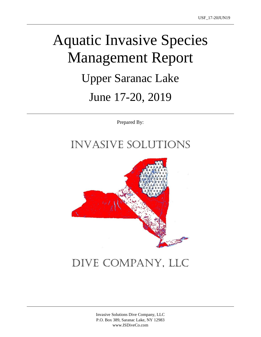# Aquatic Invasive Species Management Report Upper Saranac Lake June 17-20, 2019

Prepared By:

### Invasive Solutions



## Dive Company, LLC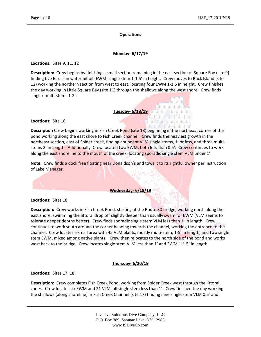#### **Operations**

### **Monday- 6/17/19**

**Locations:** Sites 9, 11, 12

**Description:** Crew begins by finishing a small section remaining in the east section of Square Bay (site 9) finding five Eurasian watermilfoil (EWM) single stem 1-1.5' in height. Crew moves to Buck Island (site 12) working the northern section from west to east, locating four EWM 1-1.5 in height. Crew finishes the day working in Little Square Bay (site 11) through the shallows along the west shore. Crew finds single/ multi-stems 1-2'.

**Tuesday- 6/18/19**

**Locations:** Site 18

**Description** Crew begins working in Fish Creek Pond (site 18) beginning in the northeast corner of the pond working along the east shore to Fish Creek channel. Crew finds the heaviest growth in the northeast section, east of Spider creek, finding abundant VLM single stems, 1' or less, and three multistems 2' in length. Additionally, Crew located two EWM, both less than 0.5'. Crew continues to work along the east shoreline to the mouth of the creek, locating sporadic single stem VLM under 1'.

**Note:** Crew finds a dock free floating near Donaldson's and tows it to its rightful owner per instruction of Lake Manager.

#### **Wednesday- 6/19/19**

**Locations:** Sites 18

**Description:** Crew works in Fish Creek Pond, starting at the Route 30 bridge, working north along the east shore, swimming the littoral drop off slightly deeper than usually swam for EWM (VLM seems to tolerate deeper depths better). Crew finds sporadic single stem VLM less than 1' in length. Crew continues to work south around the corner heading towards the channel, working the entrance to the channel. Crew locates a small area with 45 VLM plants, mostly multi-stem, 1-5' in length, and two single stem EWM, mixed among native plants. Crew then relocates to the north side of the pond and works west back to the bridge. Crew locates single stem VLM less than 1' and EWM 1-1.5' in length.

#### **Thursday- 6/20/19**

**Locations:** Sites 17, 18

**Description:** Crew completes Fish Creek Pond, working from Spider Creek west through the littoral zones. Crew locates six EWM and 21 VLM, all single stem less than 1'. Crew finished the day working the shallows (along shoreline) in Fish Creek Channel (site 17) finding nine single stem VLM 0.5' and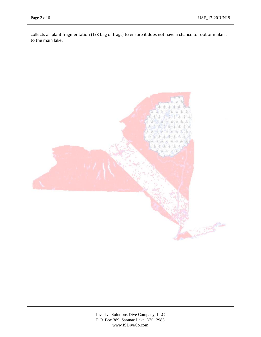collects all plant fragmentation (1/3 bag of frags) to ensure it does not have a chance to root or make it to the main lake.

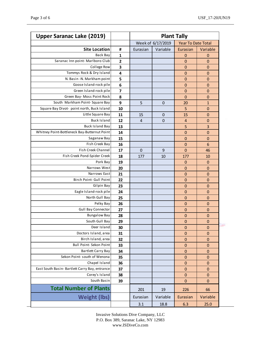| <b>Upper Saranac Lake (2019)</b>               |                         | <b>Plant Tally</b> |             |                           |                 |
|------------------------------------------------|-------------------------|--------------------|-------------|---------------------------|-----------------|
|                                                |                         | Week of 6/17/2019  |             | <b>Year To Date Total</b> |                 |
| <b>Site Location</b>                           | #                       | Eurasian           | Variable    | Eurasian                  | Variable        |
| Back Bay                                       | 1                       |                    |             | $\mathbf 0$               | $\mathbf 0$     |
| Saranac Inn point- Marlboro Club               | $\overline{\mathbf{c}}$ |                    |             | $\mathbf 0$               | $\mathbf 0$     |
| College Row                                    | 3                       |                    |             | $\mathbf 0$               | $\mathbf 0$     |
| Tommys Rock & Dry Island                       | 4                       |                    |             | $\mathbf 0$               | $\mathbf 0$     |
| N. Basin -N. Markham point                     | 5                       |                    |             | $\mathbf 0$               | $\mathbf 0$     |
| Goose Island-rock pile                         | 6                       |                    |             | $\mathbf 0$               | $\mathbf 0$     |
| Green Island-rock pile                         | $\overline{\mathbf{z}}$ |                    |             | $\mathbf 0$               | $\mathbf 0$     |
| Green Bay- Moss Point Rock                     | 8                       |                    |             | 0                         | $\mathbf 0$     |
| South Markham Point-Square Bay                 | 9                       | 5                  | $\mathbf 0$ | 20                        | $\mathbf{1}$    |
| Square Bay Divot- point north, Buck Island     | 10                      |                    |             | 5                         | $\mathbf 0$     |
| Little Square Bay                              | 11                      | 15                 | $\mathbf 0$ | 15                        | $\mathbf 0$     |
| <b>Buck Island</b>                             | 12                      | 4                  | $\mathbf 0$ | $\overline{4}$            | $\mathbf 0$     |
| <b>Buck Island Bay</b>                         | 13                      |                    |             | 5                         | 3               |
| Whitney Point-Bottleneck Bay-Butternut Point   | 14                      |                    |             | $\mathbf 0$               | $\mathbf 0$     |
| Saganaw Bay                                    | 15                      |                    |             | $\mathbf 0$               | $\mathbf 0$     |
| Fish Creek Bay                                 | 16                      |                    |             | $\mathbf 0$               | $6\phantom{1}6$ |
| Fish Creek Channel                             | 17                      | $\mathbf 0$        | 9           | $\mathbf 0$               | 46              |
| Fish Creek Pond-Spider Creek                   | 18                      | 177                | 10          | 177                       | 10              |
| Pork Bay                                       | 19                      |                    |             | $\mathbf 0$               | $\mathbf 0$     |
| Narrows West                                   | 20                      |                    |             | $\mathbf 0$               | $\mathbf 0$     |
| Narrows East                                   | 21                      |                    |             | $\mathbf 0$               | $\mathbf 0$     |
| Birch Point- Gull Point                        | 22                      |                    |             | $\mathbf 0$               | $\mathbf 0$     |
| Gilpin Bay                                     | 23                      |                    |             | $\mathbf 0$               | $\mathbf 0$     |
| Eagle Island-rock pile                         | 24                      |                    |             | $\mathbf 0$               | $\mathbf 0$     |
| North Gull Bay                                 | 25                      |                    |             | $\mathbf 0$               | $\mathbf 0$     |
| Pelky Bay                                      | 26                      |                    |             | $\mathbf 0$               | $\mathbf 0$     |
| <b>Gull Bay Connector</b>                      | 27                      |                    |             | $\mathbf 0$               | $\pmb{0}$       |
| <b>Bungalow Bay</b>                            | 28                      |                    |             | $\mathbf 0$               | $\mathbf 0$     |
| South Gull Bay                                 | 29                      |                    |             | $\mathbf 0$               | $\pmb{0}$       |
| Deer Island                                    | 30                      |                    |             | 0                         | $\mathbf 0$     |
| Doctors Island, area                           | 31                      |                    |             | $\mathbf 0$               | $\pmb{0}$       |
| Birch Island, area                             | 32                      |                    |             | $\pmb{0}$                 | $\pmb{0}$       |
| Bull Point- Sekon Point                        | 33                      |                    |             | 0                         | 0               |
| Bartlett Carry Bay                             | 34                      |                    |             | $\mathbf 0$               | $\mathbf 0$     |
| Sekon Point- south of Wenona                   | 35                      |                    |             | 0                         | 0               |
| Chapel Island                                  | 36                      |                    |             | $\pmb{0}$                 | $\pmb{0}$       |
| East South Basin- Bartlett Carry Bay, entrance | 37                      |                    |             | $\mathbf 0$               | $\pmb{0}$       |
| Corey's Island                                 | 38                      |                    |             | $\mathbf 0$               | 0               |
| South Basin                                    | 39                      |                    |             | $\mathbf 0$               | 0               |
| <b>Total Number of Plants</b>                  |                         | 201                | 19          | 226                       | 66              |
| <b>Weight (lbs)</b>                            |                         | Eurasian           | Variable    | Eurasian                  | Variable        |
|                                                |                         | 3.1                | 18.8        | 6.3                       | 25.0            |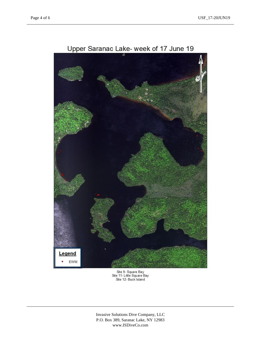

Upper Saranac Lake- week of 17 June 19

Site 9- Square Bay<br>Site 11- Little Square Bay<br>Site 12- Buck Island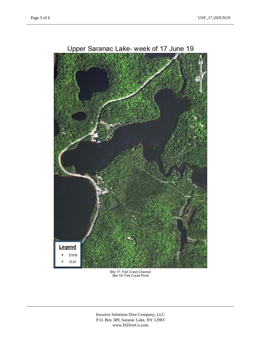

Site 17- Fish Creek Channel<br>Site 18- Fish Creek Pond